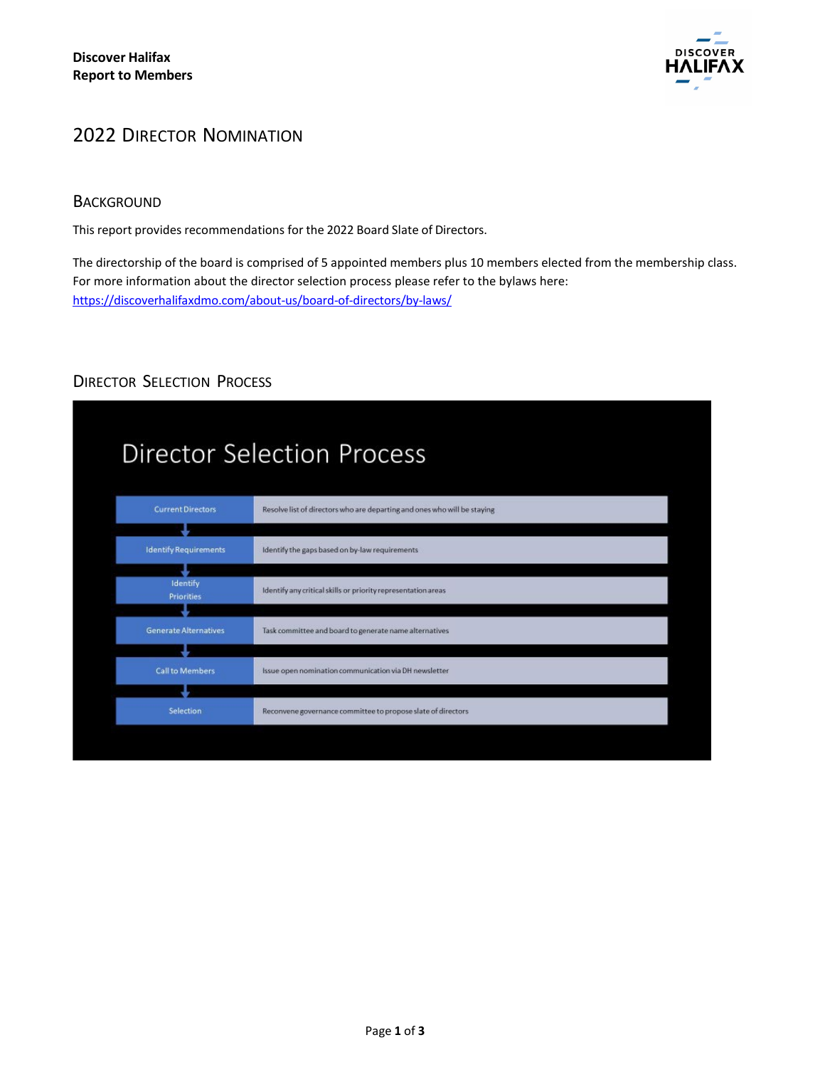

## 2022 DIRECTOR NOMINATION

## **BACKGROUND**

This report provides recommendations for the 2022 Board Slate of Directors.

The directorship of the board is comprised of 5 appointed members plus 10 members elected from the membership class. For more information about the director selection process please refer to the bylaws here: <https://discoverhalifaxdmo.com/about-us/board-of-directors/by-laws/>

# DIRECTOR SELECTION PROCESS

| <b>Director Selection Process</b> |                                                                          |
|-----------------------------------|--------------------------------------------------------------------------|
| <b>Current Directors</b>          | Resolve list of directors who are departing and ones who will be staying |
|                                   |                                                                          |
| <b>Identify Requirements</b>      | Identify the gaps based on by-law requirements                           |
|                                   |                                                                          |
| Identify                          | Identify any critical skills or priority representation areas            |
| <b>Priorities</b>                 |                                                                          |
| <b>Generate Alternatives</b>      | Task committee and board to generate name alternatives                   |
|                                   |                                                                          |
| <b>Call to Members</b>            | Issue open nomination communication via DH newsletter                    |
|                                   |                                                                          |
| Selection                         | Reconvene governance committee to propose slate of directors             |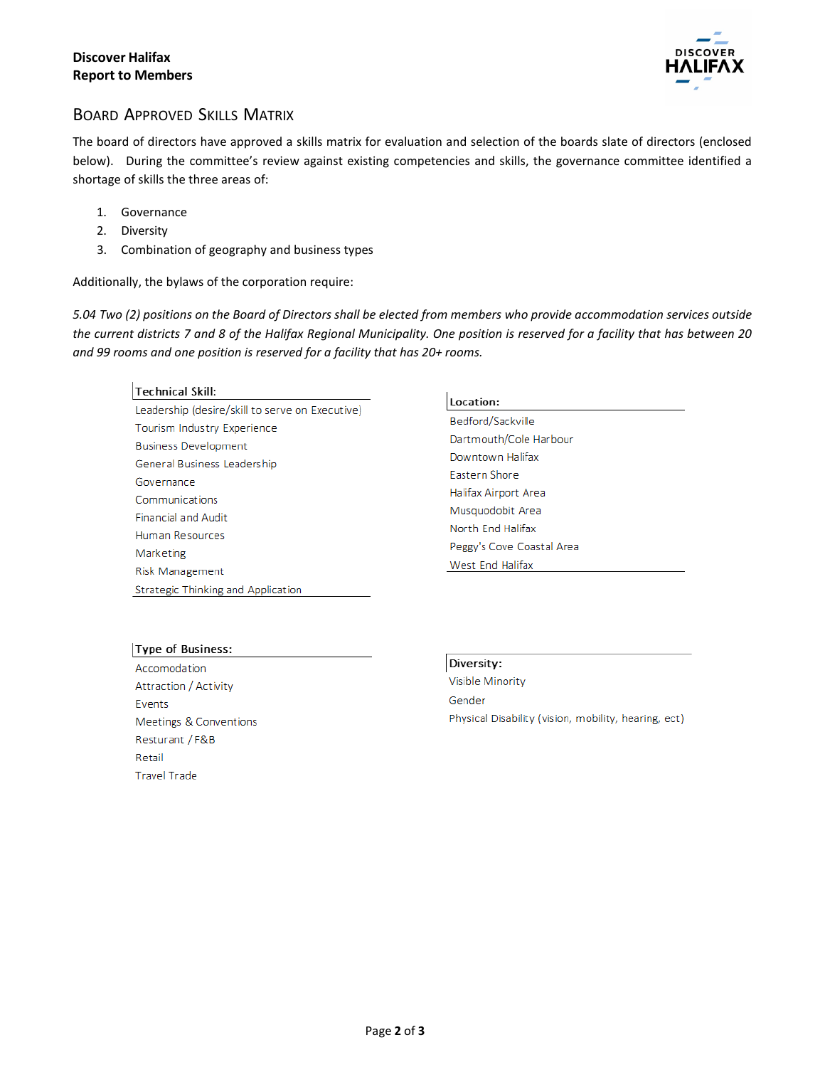

## BOARD APPROVED SKILLS MATRIX

The board of directors have approved a skills matrix for evaluation and selection of the boards slate of directors (enclosed below). During the committee's review against existing competencies and skills, the governance committee identified a shortage of skills the three areas of:

- 1. Governance
- 2. Diversity
- 3. Combination of geography and business types

Additionally, the bylaws of the corporation require:

5.04 Two (2) positions on the Board of Directors shall be elected from members who provide accommodation services outside *the current districts 7 and 8 of the Halifax Regional Municipality. One position is reserved for a facility that has between 20 and 99 rooms and one position is reserved for a facility that has 20+ rooms.*

#### **Technical Skill:**

Leadership (desire/skill to serve on Executive) Tourism Industry Experience **Business Development** General Business Leadership Governance Communications **Financial and Audit** Human Resources Marketing Risk Management Strategic Thinking and Application

#### Location:

Bedford/Sackville Dartmouth/Cole Harbour Downtown Halifax Eastern Shore Halifax Airport Area Musquodobit Area North End Halifax Peggy's Cove Coastal Area West End Halifax

### **Type of Business:**

Accomodation Attraction / Activity Events Meetings & Conventions Resturant / F&B Retail **Travel Trade** 

Diversity:

Visible Minority Gender Physical Disability (vision, mobility, hearing, ect)